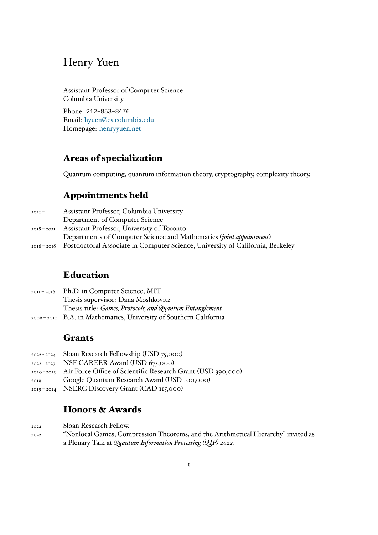# Henry Yuen

Assistant Professor of Computer Science Columbia University

Phone: 212-853-8476 Email: hyuen@cs.columbia.edu Homepage: henryyuen.net

### **Are[as o](mailto:hyuen@cs.columbia.edu)[f specializa](http://www.henryyuen.net)[tio](mailto:hyuen@cs.columbia.edu)n**

Quantum computing, quantum information theory, cryptography, complexity theory.

### **Appointments held**

| $202I -$ | Assistant Professor, Columbia University                                                   |
|----------|--------------------------------------------------------------------------------------------|
|          | Department of Computer Science                                                             |
|          | 2018 - 2021 Assistant Professor, University of Toronto                                     |
|          | Departments of Computer Science and Mathematics ( <i>joint appointment</i> )               |
|          | 2016 - 2018 Postdoctoral Associate in Computer Science, University of California, Berkeley |

## **Education**

| $20II - 20I6$ Ph.D. in Computer Science, MIT                     |
|------------------------------------------------------------------|
| Thesis supervisor: Dana Moshkovitz                               |
| Thesis title: Games, Protocols, and Quantum Entanglement         |
| 2006-2010 B.A. in Mathematics, University of Southern California |

### **Grants**

| $2022 - 2024$ | Sloan Research Fellowship (USD 75,000) |  |
|---------------|----------------------------------------|--|
|               |                                        |  |

- 2022 2027 NSF CAREER Award (USD 675,000)
- 2020 2023 Air Force Office of Scientific Research Grant (USD 390,000)
- 2019 Google Quantum Research Award (USD 100,000)
- 2019 2024 NSERC Discovery Grant (CAD 115,000)

### **Honors & Awards**

2022 Sloan Research Fellow. 2022 "Nonlocal Games, Compression Theorems, and the Arithmetical Hierarchy" invited as a Plenary Talk at *Quantum Information Processing (QIP) 2022*.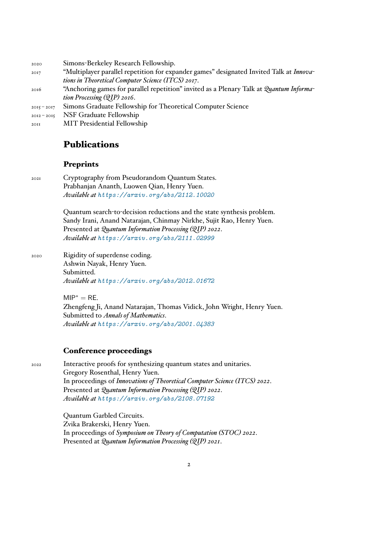2020 Simons-Berkeley Research Fellowship.

- <sup>2017</sup> "Multiplayer parallel repetition for expander games" designated Invited Talk at *Innovations in Theoretical Computer Science (ITCS) 2017*.
- <sup>2016</sup> "Anchoring games for parallel repetition" invited as a Plenary Talk at *Quantum Information Processing (QIP) 2016*.
- 2015 2017 Simons Graduate Fellowship for Theoretical Computer Science
- 2012 2015 NSF Graduate Fellowship
- 2011 MIT Presidential Fellowship

### **Publications**

#### **Preprints**

2021 Cryptography from Pseudorandom Quantum States. Prabhanjan Ananth, Luowen Qian, Henry Yuen. *Available at https://arxiv.org/abs/2112.10020*

> Quantum search-to-decision reductions and the state synthesis problem. Sandy Irani, Anand Natarajan, Chinmay Nirkhe, Sujit Rao, Henry Yuen. Presented at *[Quantum Information Processing \(QIP\) 20](https://arxiv.org/abs/2112.10020)22*. *Available at https://arxiv.org/abs/2111.02999*

2020 Rigidity of superdense coding. Ashwin Na[yak, Henry Yuen.](https://arxiv.org/abs/2111.02999) Submitted. *Available at https://arxiv.org/abs/2012.01672*

> $MIP^* = RE$ . Zhengfeng [Ji, Anand Natarajan, Thomas Vidick, Joh](https://arxiv.org/abs/2012.01672)n Wright, Henry Yuen. Submitted to *Annals of Mathematics*. *Available at https://arxiv.org/abs/2001.04383*

#### **Confere[nce proceedings](https://arxiv.org/abs/2001.04383)**

2022 Interactive proofs for synthesizing quantum states and unitaries. Gregory Rosenthal, Henry Yuen. In proceedings of *Innovations of Theoretical Computer Science (ITCS) 2022*. Presented at *Quantum Information Processing (QIP) 2022*. *Available at https://arxiv.org/abs/2108.07192*

> Quantum Garbled Circuits. Zvika Brakerski, Henry Yuen. In proceedings of *[Symposium on Theory of Computation](https://arxiv.org/abs/2108.07192) (STOC) 2022*. Presented at *Quantum Information Processing (QIP) 2021*.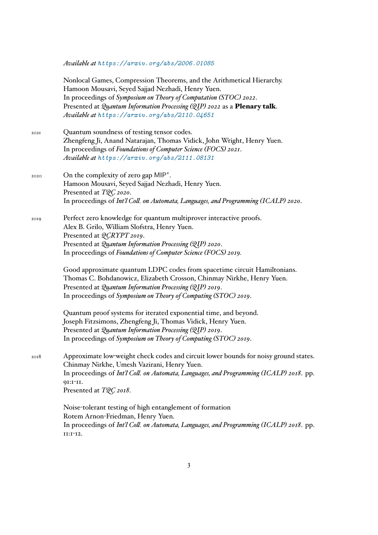*Available at https://arxiv.org/abs/2006.01085*

Nonlocal Games, Compression Theorems, and the Arithmetical Hierarchy. Hamoon Mousavi, Seyed Sajjad Nezhadi, Henry Yuen. In proceedings of *[Symposium on Theory of Computation](https://arxiv.org/abs/2006.01085) (STOC) 2022*. Presented at *Quantum Information Processing (QIP) 2022* as a **Plenary talk**. *Available at https://arxiv.org/abs/2110.04651*

- 2021 Quantum soundness of testing tensor codes. Zhengfeng Ji, Anand Natarajan, Thomas Vidick, John Wright, Henry Yuen. In proceedings of *[Foundations of Computer Science \(FO](https://arxiv.org/abs/2110.04651)CS) 2021*. *Available at https://arxiv.org/abs/2111.08131*
- <sup>2020</sup> On the complexity of zero gap MIP*<sup>∗</sup>* . Hamoon M[ousavi, Seyed Sajjad Nezhadi, Henry Yue](https://arxiv.org/abs/2111.08131)n. Presented at *TQC 2020*. In proceedings of *Int'l Coll. on Automata, Languages, and Programming (ICALP) 2020*.
- 2019 Perfect zero knowledge for quantum multiprover interactive proofs. Alex B. Grilo, William Slofstra, Henry Yuen. Presented at *QCRYPT 2019*. Presented at *Quantum Information Processing (QIP) 2020*. In proceedings of *Foundations of Computer Science (FOCS) 2019.*

Good approximate quantum LDPC codes from spacetime circuit Hamiltonians. Thomas C. Bohdanowicz, Elizabeth Crosson, Chinmay Nirkhe, Henry Yuen. Presented at *Quantum Information Processing (QIP) 2019*. In proceedings of *Symposium on Theory of Computing (STOC) 2019*.

Quantum proof systems for iterated exponential time, and beyond. Joseph Fitzsimons, Zhengfeng Ji, Thomas Vidick, Henry Yuen. Presented at *Quantum Information Processing (QIP) 2019*. In proceedings of *Symposium on Theory of Computing (STOC) 2019*.

2018 Approximate low-weight check codes and circuit lower bounds for noisy ground states. Chinmay Nirkhe, Umesh Vazirani, Henry Yuen. In proceedings of *Int'l Coll. on Automata, Languages, and Programming (ICALP) 2018*. pp. 91:1-11. Presented at *TQC 2018*.

> Noise-tolerant testing of high entanglement of formation Rotem Arnon-Friedman, Henry Yuen. In proceedings of *Int'l Coll. on Automata, Languages, and Programming (ICALP) 2018*. pp. 11:1-12.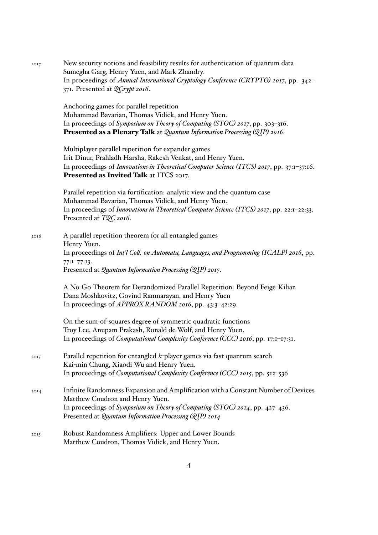| 2017 | New security notions and feasibility results for authentication of quantum data<br>Sumegha Garg, Henry Yuen, and Mark Zhandry.<br>In proceedings of Annual International Cryptology Conference (CRYPTO) 2017, pp. 342-<br>371. Presented at <i>QCrypt 2016</i> . |
|------|------------------------------------------------------------------------------------------------------------------------------------------------------------------------------------------------------------------------------------------------------------------|
|      | Anchoring games for parallel repetition<br>Mohammad Bavarian, Thomas Vidick, and Henry Yuen.<br>In proceedings of Symposium on Theory of Computing (STOC) 2017, pp. 303-316.<br>Presented as a Plenary Talk at Quantum Information Processing (QIP) 2016.        |
|      | Multiplayer parallel repetition for expander games<br>Irit Dinur, Prahladh Harsha, Rakesh Venkat, and Henry Yuen.<br>In proceedings of Innovations in Theoretical Computer Science (ITCS) 2017, pp. 37:1-37:16.<br>Presented as Invited Talk at ITCS 2017.       |
|      | Parallel repetition via fortification: analytic view and the quantum case<br>Mohammad Bavarian, Thomas Vidick, and Henry Yuen.<br>In proceedings of Innovations in Theoretical Computer Science (ITCS) 2017, pp. 22:1-22:33.<br>Presented at TQC 2016.           |
| 2016 | A parallel repetition theorem for all entangled games<br>Henry Yuen.<br>In proceedings of Int'l Coll. on Automata, Languages, and Programming (ICALP) 2016, pp.<br>77:177:13.<br>Presented at Quantum Information Processing (QIP) 2017.                         |
|      | A No-Go Theorem for Derandomized Parallel Repetition: Beyond Feige-Kilian<br>Dana Moshkovitz, Govind Ramnarayan, and Henry Yuen<br>In proceedings of APPROX-RANDOM 2016, pp. 43:3-42:29.                                                                         |
|      | On the sum-of-squares degree of symmetric quadratic functions<br>Troy Lee, Anupam Prakash, Ronald de Wolf, and Henry Yuen.<br>In proceedings of Computational Complexity Conference (CCC) 2016, pp. 17:1-17:31.                                                  |
| 2015 | Parallel repetition for entangled $k$ -player games via fast quantum search<br>Kai-min Chung, Xiaodi Wu and Henry Yuen.<br>In proceedings of Computational Complexity Conference (CCC) 2015, pp. 512-536                                                         |
| 20I4 | Infinite Randomness Expansion and Amplification with a Constant Number of Devices<br>Matthew Coudron and Henry Yuen.<br>In proceedings of Symposium on Theory of Computing (STOC) 2014, pp. 427-436.<br>Presented at Quantum Information Processing (QIP) 2014   |
| 2013 | Robust Randomness Amplifiers: Upper and Lower Bounds<br>Matthew Coudron, Thomas Vidick, and Henry Yuen.                                                                                                                                                          |

4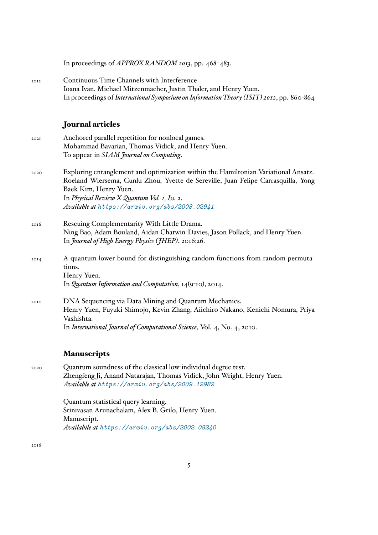In proceedings of *APPROX-RANDOM 2013*, pp. 468–483.

2012 Continuous Time Channels with Interference Ioana Ivan, Michael Mitzenmacher, Justin Thaler, and Henry Yuen. In proceedings of *International Symposium on Information Theory (ISIT) 2012*, pp. 860-864

#### **Journal articles**

| 202I | Anchored parallel repetition for nonlocal games.                                    |
|------|-------------------------------------------------------------------------------------|
|      | Mohammad Bavarian, Thomas Vidick, and Henry Yuen.                                   |
|      | To appear in SIAM fournal on Computing.                                             |
| 2020 | Exploring entanglement and optimization within the Hamiltonian Variational Ansatz.  |
|      | Roeland Wiersema, Cunlu Zhou, Yvette de Sereville, Juan Felipe Carrasquilla, Yong   |
|      | Baek Kim, Henry Yuen.                                                               |
|      | In Physical Review X Quantum Vol. 1, Iss. 2.                                        |
|      | Available at https://arxiv.org/abs/2008.02941                                       |
| 2016 | Rescuing Complementarity With Little Drama.                                         |
|      | Ning Bao, Adam Bouland, Aidan Chatwin-Davies, Jason Pollack, and Henry Yuen.        |
|      | In <i>fournal of High Energy Physics (fHEP)</i> , 2016:26.                          |
| 20I4 | A quantum lower bound for distinguishing random functions from random permuta-      |
|      | tions.                                                                              |
|      | Henry Yuen.                                                                         |
|      | In <i>Quantum Information and Computation</i> , $I_4$ ( $9$ <sup>-IO</sup> ), 2014. |
| 2010 | DNA Sequencing via Data Mining and Quantum Mechanics.                               |
|      | Henry Yuen, Fuyuki Shimojo, Kevin Zhang, Aiichiro Nakano, Kenichi Nomura, Priya     |
|      | Vashishta.                                                                          |
|      | In International Journal of Computational Science, Vol. 4, No. 4, 2010.             |

#### **Manuscripts**

2020 Quantum soundness of the classical low-individual degree test. Zhengfeng Ji, Anand Natarajan, Thomas Vidick, John Wright, Henry Yuen. *Available at https://arxiv.org/abs/2009.12982*

> Quantum statistical query learning. Srinivasan [Arunachalam, Alex B. Grilo, Henry Yuen](https://arxiv.org/abs/2009.12982). Manuscript. *Availabile at https://arxiv.org/abs/2002.08240*

2016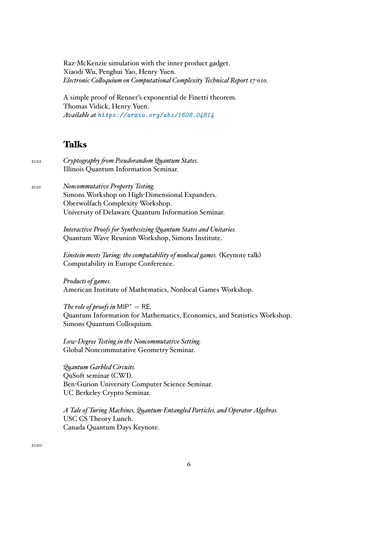Raz-McKenzie simulation with the inner product gadget. Xiaodi Wu, Penghui Yao, Henry Yuen. *Electronic Colloquium on Computational Complexity Technical Report 17-010.*

A simple proof of Renner's exponential de Finetti theorem. Thomas Vidick, Henry Yuen. *Available at https://arxiv.org/abs/1608.04814*

### **Talks**

2022 *Cryptography from Pseudorandom Quantum States.* Illinois Quantum Information Seminar.

2021 *Noncommutative Property Testing.* Simons Workshop on High-Dimensional Expanders. Oberwolfach Complexity Workshop. University of Delaware Quantum Information Seminar.

> *Interactive Proofs for Synthesizing Quantum States and Unitaries.* Quantum Wave Reunion Workshop, Simons Institute.

*Einstein meets Turing: the computability of nonlocal games.* (Keynote talk) Computability in Europe Conference.

*Products of games.* American Institute of Mathematics, Nonlocal Games Workshop.

*The role of proofs in*  $MIP^* = RE$ *.* Quantum Information for Mathematics, Economics, and Statistics Workshop. Simons Quantum Colloquium.

*Low-Degree Testing in the Noncommutative Setting.* Global Noncommutative Geometry Seminar.

*Quantum Garbled Circuits.* QuSoft seminar (CWI). Ben-Gurion University Computer Science Seminar. UC Berkeley Crypto Seminar.

*A Tale of Turing Machines, Quantum-Entangled Particles, and Operator Algebras.* USC CS Theory Lunch. Canada Quantum Days Keynote.

2020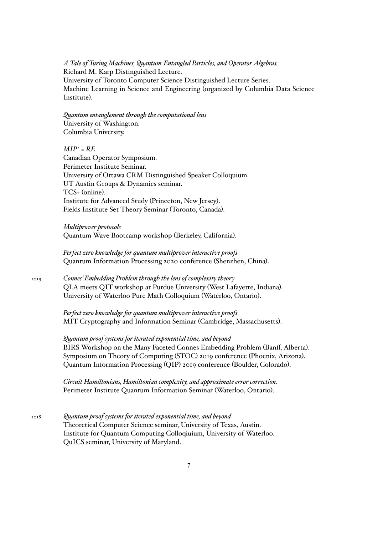*A Tale of Turing Machines, Quantum-Entangled Particles, and Operator Algebras.* Richard M. Karp Distinguished Lecture. University of Toronto Computer Science Distinguished Lecture Series. Machine Learning in Science and Engineering (organized by Columbia Data Science Institute).

*Quantum entanglement through the computational lens* University of Washington. Columbia University.

*MIP<sup>∗</sup> = RE* Canadian Operator Symposium. Perimeter Institute Seminar. University of Ottawa CRM Distinguished Speaker Colloquium. UT Austin Groups & Dynamics seminar. TCS+ (online). Institute for Advanced Study (Princeton, New Jersey). Fields Institute Set Theory Seminar (Toronto, Canada).

*Multiprover protocols* Quantum Wave Bootcamp workshop (Berkeley, California).

*Perfect zero knowledge for quantum multiprover interactive proofs* Quantum Information Processing 2020 conference (Shenzhen, China).

2019 *Connes' Embedding Problem through the lens of complexity theory* QLA meets QIT workshop at Purdue University (West Lafayette, Indiana). University of Waterloo Pure Math Colloquium (Waterloo, Ontario).

> *Perfect zero knowledge for quantum multiprover interactive proofs* MIT Cryptography and Information Seminar (Cambridge, Massachusetts).

*Quantum proof systems for iterated exponential time, and beyond* BIRS Workshop on the Many Faceted Connes Embedding Problem (Banff, Alberta). Symposium on Theory of Computing (STOC) 2019 conference (Phoenix, Arizona). Quantum Information Processing (QIP) 2019 conference (Boulder, Colorado).

*Circuit Hamiltonians, Hamiltonian complexity, and approximate error correction.* Perimeter Institute Quantum Information Seminar (Waterloo, Ontario).

2018 *Quantum proof systems for iterated exponential time, and beyond* Theoretical Computer Science seminar, University of Texas, Austin. Institute for Quantum Computing Colloqiuium, University of Waterloo. QuICS seminar, University of Maryland.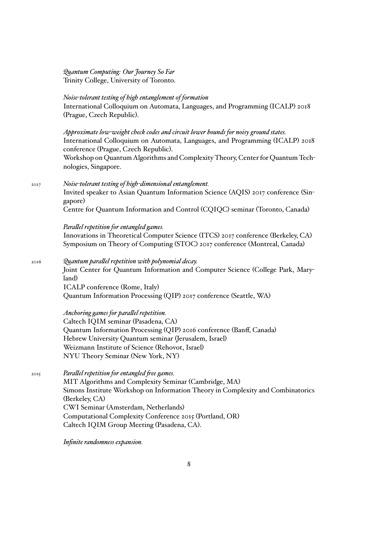*Quantum Computing: Our Journey So Far* Trinity College, University of Toronto.

*Noise-tolerant testing of high entanglement of formation* International Colloquium on Automata, Languages, and Programming (ICALP) 2018 (Prague, Czech Republic).

*Approximate low-weight check codes and circuit lower bounds for noisy ground states.* International Colloquium on Automata, Languages, and Programming (ICALP) 2018 conference (Prague, Czech Republic).

Workshop on Quantum Algorithms and Complexity Theory, Center for Quantum Technologies, Singapore.

2017 *Noise-tolerant testing of high-dimensional entanglement.*

Invited speaker to Asian Quantum Information Science (AQIS) 2017 conference (Singapore)

Centre for Quantum Information and Control (CQIQC) seminar (Toronto, Canada)

*Parallel repetition for entangled games.* Innovations in Theoretical Computer Science (ITCS) 2017 conference (Berkeley, CA) Symposium on Theory of Computing (STOC) 2017 conference (Montreal, Canada)

2016 *Quantum parallel repetition with polynomial decay.* Joint Center for Quantum Information and Computer Science (College Park, Maryland) ICALP conference (Rome, Italy) Quantum Information Processing (QIP) 2017 conference (Seattle, WA)

> *Anchoring games for parallel repetition.* Caltech IQIM seminar (Pasadena, CA) Quantum Information Processing (QIP) 2016 conference (Banff, Canada) Hebrew University Quantum seminar (Jerusalem, Israel) Weizmann Institute of Science (Rehovot, Israel) NYU Theory Seminar (New York, NY)

2015 *Parallel repetition for entangled free games.* MIT Algorithms and Complexity Seminar (Cambridge, MA) Simons Institute Workshop on Information Theory in Complexity and Combinatorics (Berkeley, CA) CWI Seminar (Amsterdam, Netherlands) Computational Complexity Conference 2015 (Portland, OR) Caltech IQIM Group Meeting (Pasadena, CA).

*Infinite randomness expansion.*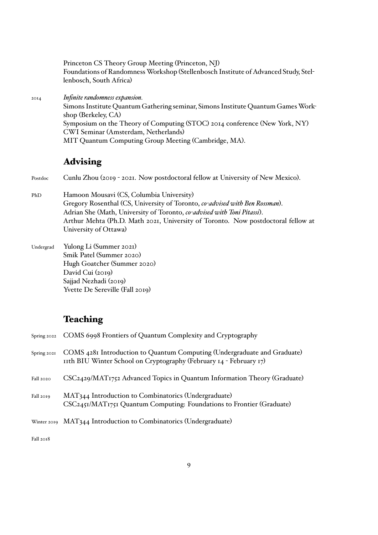Princeton CS Theory Group Meeting (Princeton, NJ) Foundations of Randomness Workshop (Stellenbosch Institute of Advanced Study, Stellenbosch, South Africa)

2014 *Infinite randomness expansion.* Simons Institute Quantum Gathering seminar, Simons Institute Quantum Games Workshop (Berkeley, CA) Symposium on the Theory of Computing (STOC) 2014 conference (New York, NY) CWI Seminar (Amsterdam, Netherlands) MIT Quantum Computing Group Meeting (Cambridge, MA).

# **Advising**

Postdoc Cunlu Zhou (2019 - 2021. Now postdoctoral fellow at University of New Mexico).

- PhD Hamoon Mousavi (CS, Columbia University) Gregory Rosenthal (CS, University of Toronto, *co-advised with Ben Rossman*). Adrian She (Math, University of Toronto, *co-advised with Toni Pitassi*). Arthur Mehta (Ph.D. Math 2021, University of Toronto. Now postdoctoral fellow at University of Ottawa)
- Undergrad Yulong Li (Summer 2021) Smik Patel (Summer 2020) Hugh Goatcher (Summer 2020) David Cui (2019) Sajjad Nezhadi (2019) Yvette De Sereville (Fall 2019)

# **Teaching**

| Spring $2022$ | COMS 6998 Frontiers of Quantum Complexity and Cryptography                                                                                     |
|---------------|------------------------------------------------------------------------------------------------------------------------------------------------|
| Spring 2021   | COMS 4281 Introduction to Quantum Computing (Undergraduate and Graduate)<br>11th BIU Winter School on Cryptography (February 14 - February 17) |
| Fall 2020     | CSC2429/MAT1752 Advanced Topics in Quantum Information Theory (Graduate)                                                                       |
| Fall 2019     | MAT344 Introduction to Combinatorics (Undergraduate)<br>CSC2451/MAT1751 Quantum Computing: Foundations to Frontier (Graduate)                  |
|               | Winter 2019 MAT344 Introduction to Combinatorics (Undergraduate)                                                                               |
|               |                                                                                                                                                |

Fall 2018